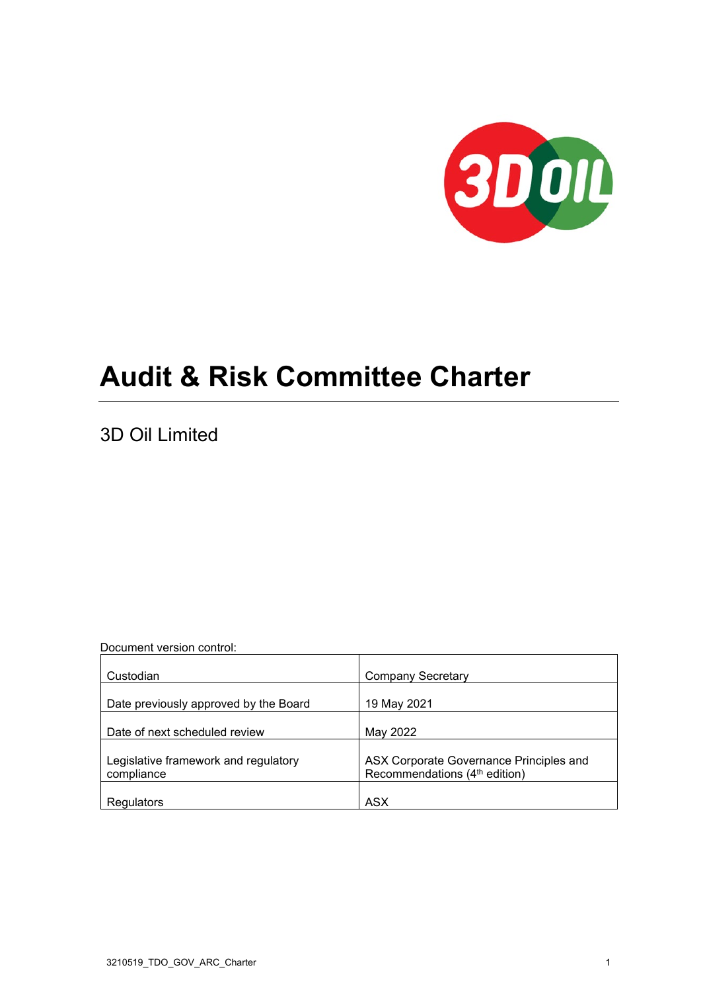

# **Audit & Risk Committee Charter**

3D Oil Limited

Document version control:

| Custodian                                          | <b>Company Secretary</b>                                                             |
|----------------------------------------------------|--------------------------------------------------------------------------------------|
| Date previously approved by the Board              | 19 May 2021                                                                          |
| Date of next scheduled review                      | May 2022                                                                             |
| Legislative framework and regulatory<br>compliance | ASX Corporate Governance Principles and<br>Recommendations (4 <sup>th</sup> edition) |
| Regulators                                         | <b>ASX</b>                                                                           |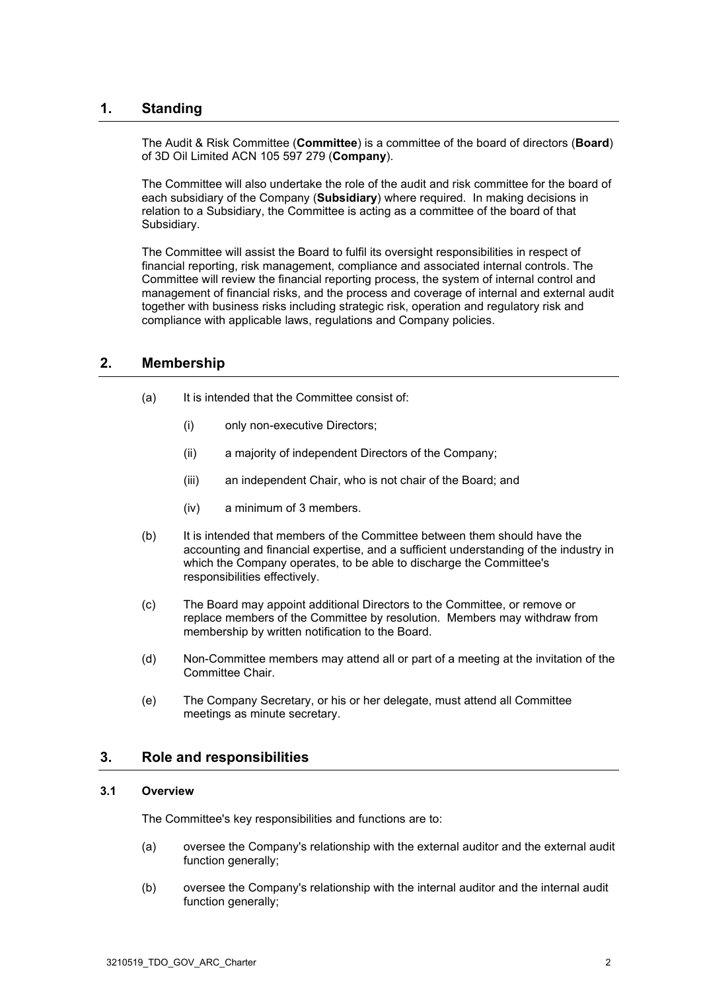# **1. Standing**

The Audit & Risk Committee (**Committee**) is a committee of the board of directors (**Board**) of 3D Oil Limited ACN 105 597 279 (**Company**).

The Committee will also undertake the role of the audit and risk committee for the board of each subsidiary of the Company (**Subsidiary**) where required. In making decisions in relation to a Subsidiary, the Committee is acting as a committee of the board of that Subsidiary.

The Committee will assist the Board to fulfil its oversight responsibilities in respect of financial reporting, risk management, compliance and associated internal controls. The Committee will review the financial reporting process, the system of internal control and management of financial risks, and the process and coverage of internal and external audit together with business risks including strategic risk, operation and regulatory risk and compliance with applicable laws, regulations and Company policies.

# **2. Membership**

- (a) It is intended that the Committee consist of:
	- (i) only non-executive Directors;
	- (ii) a majority of independent Directors of the Company;
	- (iii) an independent Chair, who is not chair of the Board; and
	- (iv) a minimum of 3 members.
- (b) It is intended that members of the Committee between them should have the accounting and financial expertise, and a sufficient understanding of the industry in which the Company operates, to be able to discharge the Committee's responsibilities effectively.
- (c) The Board may appoint additional Directors to the Committee, or remove or replace members of the Committee by resolution. Members may withdraw from membership by written notification to the Board.
- (d) Non-Committee members may attend all or part of a meeting at the invitation of the Committee Chair.
- (e) The Company Secretary, or his or her delegate, must attend all Committee meetings as minute secretary.

# **3. Role and responsibilities**

#### **3.1 Overview**

The Committee's key responsibilities and functions are to:

- (a) oversee the Company's relationship with the external auditor and the external audit function generally;
- (b) oversee the Company's relationship with the internal auditor and the internal audit function generally;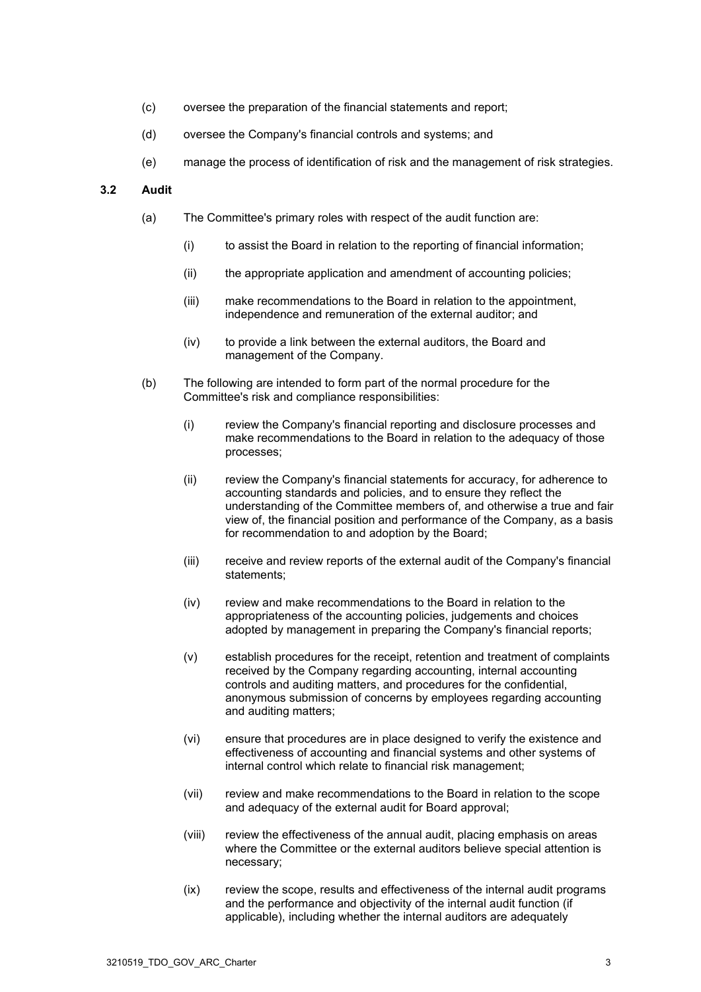- (c) oversee the preparation of the financial statements and report;
- (d) oversee the Company's financial controls and systems; and
- (e) manage the process of identification of risk and the management of risk strategies.

## **3.2 Audit**

- (a) The Committee's primary roles with respect of the audit function are:
	- (i) to assist the Board in relation to the reporting of financial information;
	- (ii) the appropriate application and amendment of accounting policies;
	- (iii) make recommendations to the Board in relation to the appointment, independence and remuneration of the external auditor; and
	- (iv) to provide a link between the external auditors, the Board and management of the Company.
- (b) The following are intended to form part of the normal procedure for the Committee's risk and compliance responsibilities:
	- (i) review the Company's financial reporting and disclosure processes and make recommendations to the Board in relation to the adequacy of those processes;
	- (ii) review the Company's financial statements for accuracy, for adherence to accounting standards and policies, and to ensure they reflect the understanding of the Committee members of, and otherwise a true and fair view of, the financial position and performance of the Company, as a basis for recommendation to and adoption by the Board;
	- (iii) receive and review reports of the external audit of the Company's financial statements;
	- (iv) review and make recommendations to the Board in relation to the appropriateness of the accounting policies, judgements and choices adopted by management in preparing the Company's financial reports;
	- (v) establish procedures for the receipt, retention and treatment of complaints received by the Company regarding accounting, internal accounting controls and auditing matters, and procedures for the confidential, anonymous submission of concerns by employees regarding accounting and auditing matters;
	- (vi) ensure that procedures are in place designed to verify the existence and effectiveness of accounting and financial systems and other systems of internal control which relate to financial risk management;
	- (vii) review and make recommendations to the Board in relation to the scope and adequacy of the external audit for Board approval;
	- (viii) review the effectiveness of the annual audit, placing emphasis on areas where the Committee or the external auditors believe special attention is necessary;
	- (ix) review the scope, results and effectiveness of the internal audit programs and the performance and objectivity of the internal audit function (if applicable), including whether the internal auditors are adequately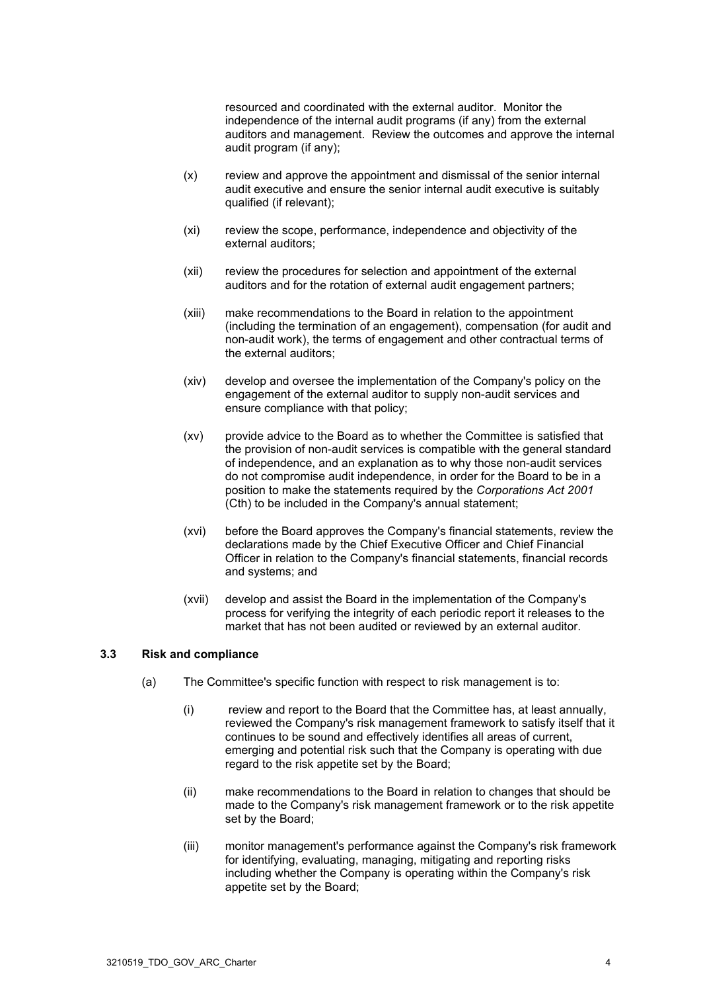resourced and coordinated with the external auditor. Monitor the independence of the internal audit programs (if any) from the external auditors and management. Review the outcomes and approve the internal audit program (if any);

- (x) review and approve the appointment and dismissal of the senior internal audit executive and ensure the senior internal audit executive is suitably qualified (if relevant);
- (xi) review the scope, performance, independence and objectivity of the external auditors;
- (xii) review the procedures for selection and appointment of the external auditors and for the rotation of external audit engagement partners;
- (xiii) make recommendations to the Board in relation to the appointment (including the termination of an engagement), compensation (for audit and non-audit work), the terms of engagement and other contractual terms of the external auditors;
- (xiv) develop and oversee the implementation of the Company's policy on the engagement of the external auditor to supply non-audit services and ensure compliance with that policy;
- (xv) provide advice to the Board as to whether the Committee is satisfied that the provision of non-audit services is compatible with the general standard of independence, and an explanation as to why those non-audit services do not compromise audit independence, in order for the Board to be in a position to make the statements required by the *Corporations Act 2001*  (Cth) to be included in the Company's annual statement;
- (xvi) before the Board approves the Company's financial statements, review the declarations made by the Chief Executive Officer and Chief Financial Officer in relation to the Company's financial statements, financial records and systems; and
- (xvii) develop and assist the Board in the implementation of the Company's process for verifying the integrity of each periodic report it releases to the market that has not been audited or reviewed by an external auditor.

## <span id="page-3-1"></span><span id="page-3-0"></span>**3.3 Risk and compliance**

- (a) The Committee's specific function with respect to risk management is to:
	- (i) review and report to the Board that the Committee has, at least annually, reviewed the Company's risk management framework to satisfy itself that it continues to be sound and effectively identifies all areas of current, emerging and potential risk such that the Company is operating with due regard to the risk appetite set by the Board;
	- (ii) make recommendations to the Board in relation to changes that should be made to the Company's risk management framework or to the risk appetite set by the Board;
	- (iii) monitor management's performance against the Company's risk framework for identifying, evaluating, managing, mitigating and reporting risks including whether the Company is operating within the Company's risk appetite set by the Board;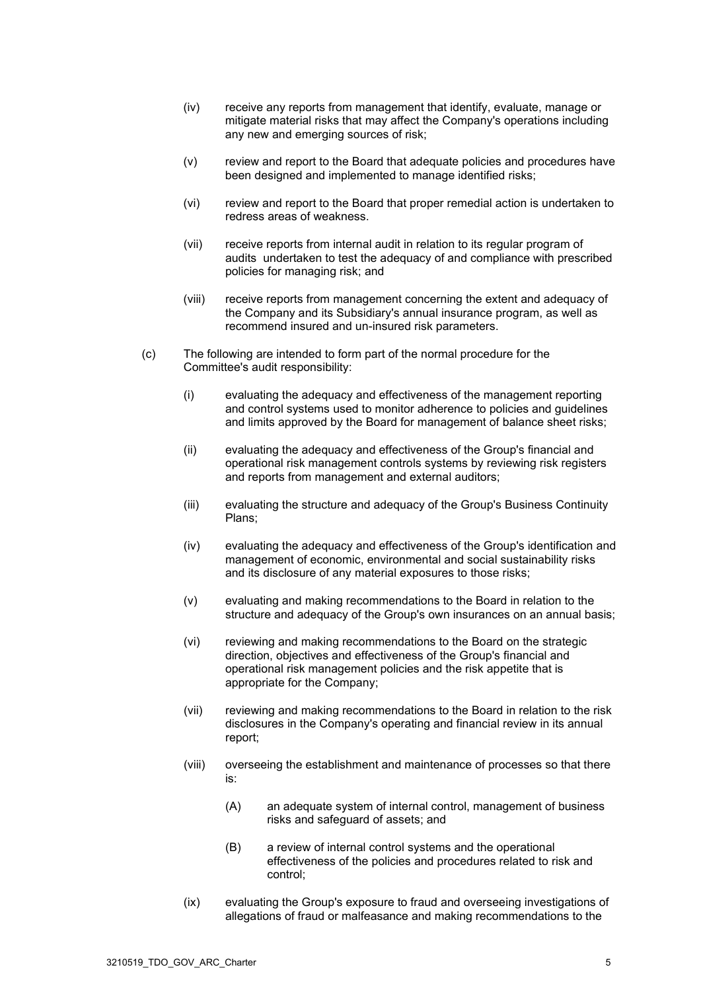- (iv) receive any reports from management that identify, evaluate, manage or mitigate material risks that may affect the Company's operations including any new and emerging sources of risk;
- (v) review and report to the Board that adequate policies and procedures have been designed and implemented to manage identified risks;
- (vi) review and report to the Board that proper remedial action is undertaken to redress areas of weakness.
- (vii) receive reports from internal audit in relation to its regular program of audits undertaken to test the adequacy of and compliance with prescribed policies for managing risk; and
- (viii) receive reports from management concerning the extent and adequacy of the Company and its Subsidiary's annual insurance program, as well as recommend insured and un-insured risk parameters.
- (c) The following are intended to form part of the normal procedure for the Committee's audit responsibility:
	- (i) evaluating the adequacy and effectiveness of the management reporting and control systems used to monitor adherence to policies and guidelines and limits approved by the Board for management of balance sheet risks;
	- (ii) evaluating the adequacy and effectiveness of the Group's financial and operational risk management controls systems by reviewing risk registers and reports from management and external auditors;
	- (iii) evaluating the structure and adequacy of the Group's Business Continuity Plans;
	- (iv) evaluating the adequacy and effectiveness of the Group's identification and management of economic, environmental and social sustainability risks and its disclosure of any material exposures to those risks;
	- (v) evaluating and making recommendations to the Board in relation to the structure and adequacy of the Group's own insurances on an annual basis;
	- (vi) reviewing and making recommendations to the Board on the strategic direction, objectives and effectiveness of the Group's financial and operational risk management policies and the risk appetite that is appropriate for the Company;
	- (vii) reviewing and making recommendations to the Board in relation to the risk disclosures in the Company's operating and financial review in its annual report;
	- (viii) overseeing the establishment and maintenance of processes so that there is:
		- (A) an adequate system of internal control, management of business risks and safeguard of assets; and
		- (B) a review of internal control systems and the operational effectiveness of the policies and procedures related to risk and control;
	- (ix) evaluating the Group's exposure to fraud and overseeing investigations of allegations of fraud or malfeasance and making recommendations to the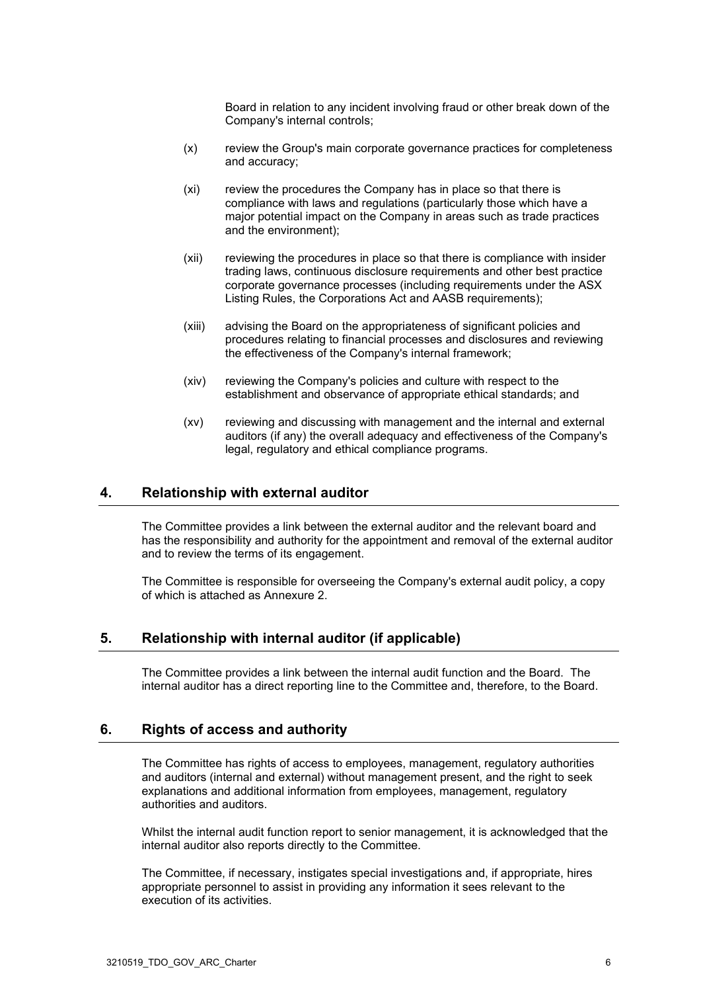Board in relation to any incident involving fraud or other break down of the Company's internal controls;

- (x) review the Group's main corporate governance practices for completeness and accuracy;
- (xi) review the procedures the Company has in place so that there is compliance with laws and regulations (particularly those which have a major potential impact on the Company in areas such as trade practices and the environment);
- (xii) reviewing the procedures in place so that there is compliance with insider trading laws, continuous disclosure requirements and other best practice corporate governance processes (including requirements under the ASX Listing Rules, the Corporations Act and AASB requirements);
- (xiii) advising the Board on the appropriateness of significant policies and procedures relating to financial processes and disclosures and reviewing the effectiveness of the Company's internal framework;
- (xiv) reviewing the Company's policies and culture with respect to the establishment and observance of appropriate ethical standards; and
- (xv) reviewing and discussing with management and the internal and external auditors (if any) the overall adequacy and effectiveness of the Company's legal, regulatory and ethical compliance programs.

# **4. Relationship with external auditor**

The Committee provides a link between the external auditor and the relevant board and has the responsibility and authority for the appointment and removal of the external auditor and to review the terms of its engagement.

The Committee is responsible for overseeing the Company's external audit policy, a copy of which is attached as Annexure [2.](#page-9-0)

# **5. Relationship with internal auditor (if applicable)**

The Committee provides a link between the internal audit function and the Board. The internal auditor has a direct reporting line to the Committee and, therefore, to the Board.

### **6. Rights of access and authority**

The Committee has rights of access to employees, management, regulatory authorities and auditors (internal and external) without management present, and the right to seek explanations and additional information from employees, management, regulatory authorities and auditors.

Whilst the internal audit function report to senior management, it is acknowledged that the internal auditor also reports directly to the Committee.

The Committee, if necessary, instigates special investigations and, if appropriate, hires appropriate personnel to assist in providing any information it sees relevant to the execution of its activities.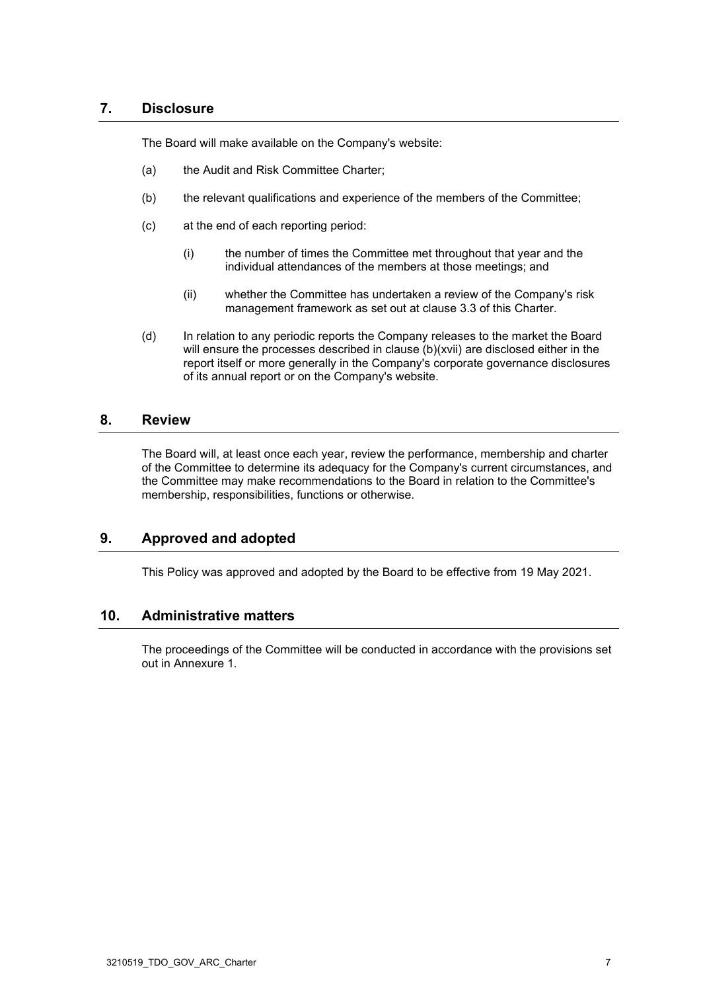# **7. Disclosure**

The Board will make available on the Company's website:

- (a) the Audit and Risk Committee Charter;
- (b) the relevant qualifications and experience of the members of the Committee;
- (c) at the end of each reporting period:
	- (i) the number of times the Committee met throughout that year and the individual attendances of the members at those meetings; and
	- (ii) whether the Committee has undertaken a review of the Company's risk management framework as set out at clause [3.3](#page-3-0) of this Charter.
- (d) In relation to any periodic reports the Company releases to the market the Board will ensure the processes described in clause [\(b\)\(xvii\)](#page-3-1) are disclosed either in the report itself or more generally in the Company's corporate governance disclosures of its annual report or on the Company's website.

# **8. Review**

The Board will, at least once each year, review the performance, membership and charter of the Committee to determine its adequacy for the Company's current circumstances, and the Committee may make recommendations to the Board in relation to the Committee's membership, responsibilities, functions or otherwise.

# **9. Approved and adopted**

This Policy was approved and adopted by the Board to be effective from 19 May 2021.

## **10. Administrative matters**

The proceedings of the Committee will be conducted in accordance with the provisions set out in Annexure [1.](#page-7-0)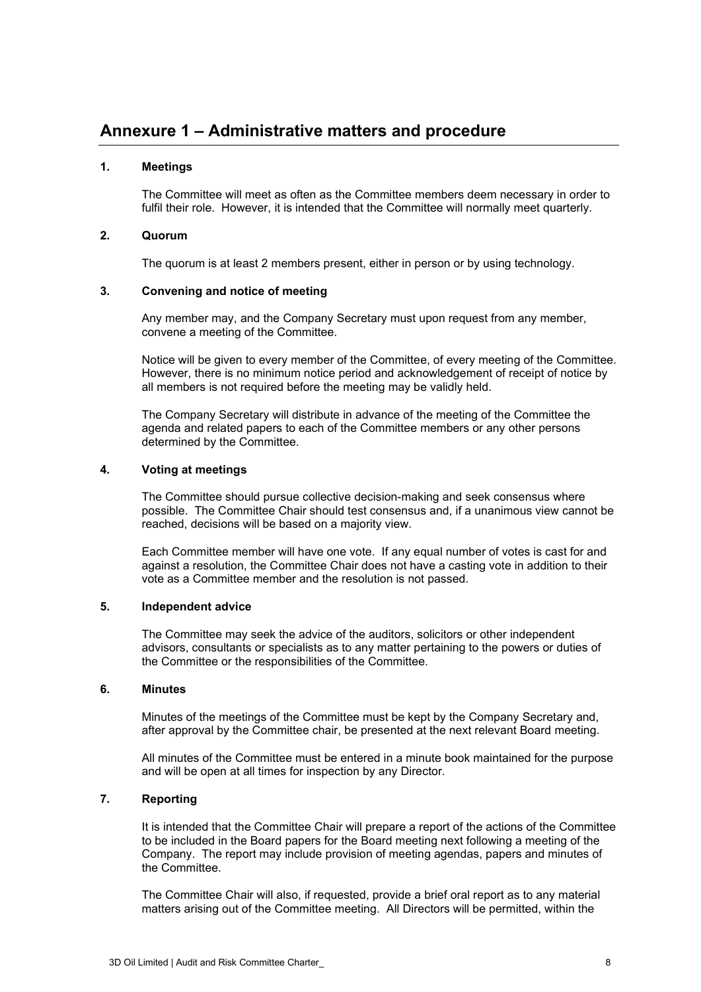### **1. Meetings**

<span id="page-7-0"></span>The Committee will meet as often as the Committee members deem necessary in order to fulfil their role. However, it is intended that the Committee will normally meet quarterly.

#### **2. Quorum**

The quorum is at least 2 members present, either in person or by using technology.

#### **3. Convening and notice of meeting**

Any member may, and the Company Secretary must upon request from any member, convene a meeting of the Committee.

Notice will be given to every member of the Committee, of every meeting of the Committee. However, there is no minimum notice period and acknowledgement of receipt of notice by all members is not required before the meeting may be validly held.

The Company Secretary will distribute in advance of the meeting of the Committee the agenda and related papers to each of the Committee members or any other persons determined by the Committee.

#### **4. Voting at meetings**

The Committee should pursue collective decision-making and seek consensus where possible. The Committee Chair should test consensus and, if a unanimous view cannot be reached, decisions will be based on a majority view.

Each Committee member will have one vote. If any equal number of votes is cast for and against a resolution, the Committee Chair does not have a casting vote in addition to their vote as a Committee member and the resolution is not passed.

#### **5. Independent advice**

The Committee may seek the advice of the auditors, solicitors or other independent advisors, consultants or specialists as to any matter pertaining to the powers or duties of the Committee or the responsibilities of the Committee.

#### **6. Minutes**

Minutes of the meetings of the Committee must be kept by the Company Secretary and, after approval by the Committee chair, be presented at the next relevant Board meeting.

All minutes of the Committee must be entered in a minute book maintained for the purpose and will be open at all times for inspection by any Director.

# **7. Reporting**

It is intended that the Committee Chair will prepare a report of the actions of the Committee to be included in the Board papers for the Board meeting next following a meeting of the Company. The report may include provision of meeting agendas, papers and minutes of the Committee.

The Committee Chair will also, if requested, provide a brief oral report as to any material matters arising out of the Committee meeting. All Directors will be permitted, within the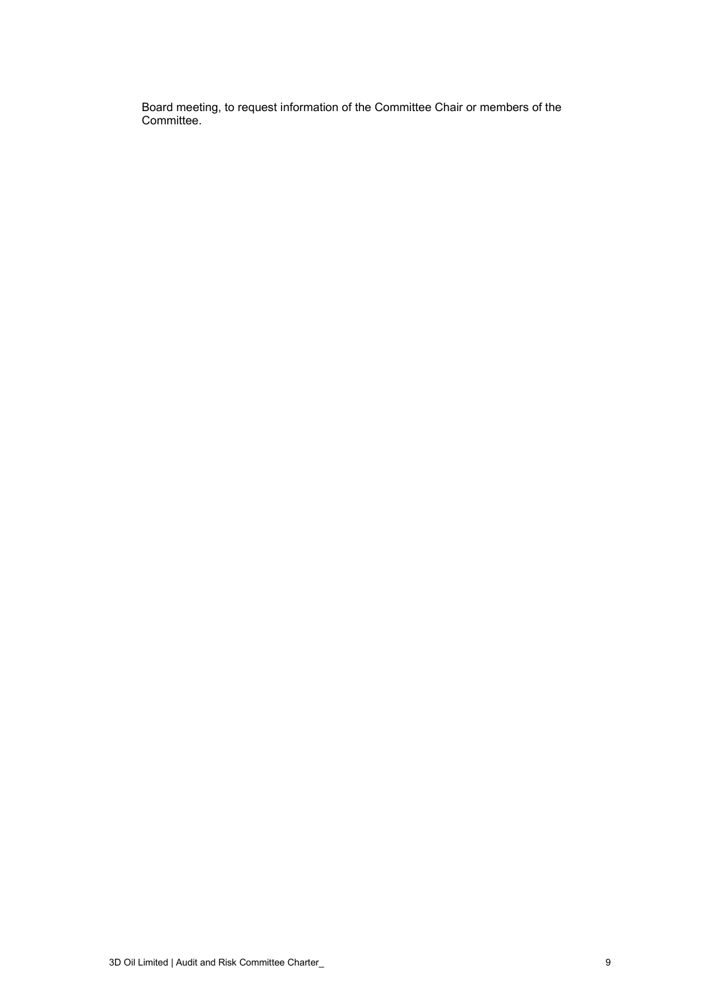Board meeting, to request information of the Committee Chair or members of the Committee.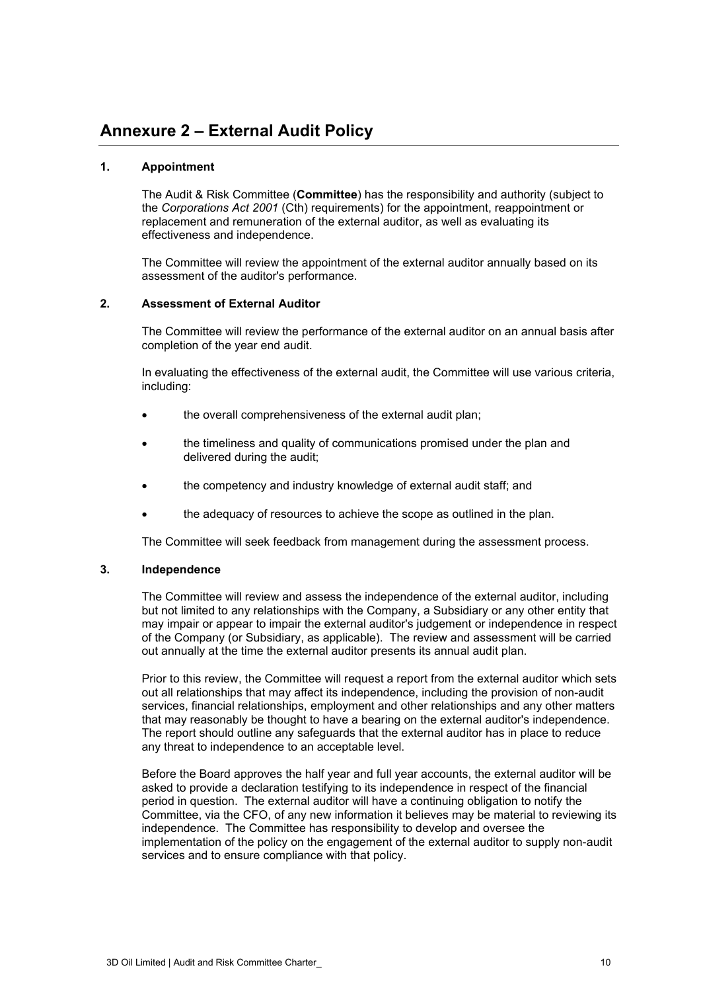### **1. Appointment**

<span id="page-9-0"></span>The Audit & Risk Committee (**Committee**) has the responsibility and authority (subject to the *Corporations Act 2001* (Cth) requirements) for the appointment, reappointment or replacement and remuneration of the external auditor, as well as evaluating its effectiveness and independence.

The Committee will review the appointment of the external auditor annually based on its assessment of the auditor's performance.

## **2. Assessment of External Auditor**

The Committee will review the performance of the external auditor on an annual basis after completion of the year end audit.

In evaluating the effectiveness of the external audit, the Committee will use various criteria, including:

- the overall comprehensiveness of the external audit plan;
- the timeliness and quality of communications promised under the plan and delivered during the audit;
- the competency and industry knowledge of external audit staff; and
- the adequacy of resources to achieve the scope as outlined in the plan.

The Committee will seek feedback from management during the assessment process.

### **3. Independence**

The Committee will review and assess the independence of the external auditor, including but not limited to any relationships with the Company, a Subsidiary or any other entity that may impair or appear to impair the external auditor's judgement or independence in respect of the Company (or Subsidiary, as applicable). The review and assessment will be carried out annually at the time the external auditor presents its annual audit plan.

Prior to this review, the Committee will request a report from the external auditor which sets out all relationships that may affect its independence, including the provision of non-audit services, financial relationships, employment and other relationships and any other matters that may reasonably be thought to have a bearing on the external auditor's independence. The report should outline any safeguards that the external auditor has in place to reduce any threat to independence to an acceptable level.

Before the Board approves the half year and full year accounts, the external auditor will be asked to provide a declaration testifying to its independence in respect of the financial period in question. The external auditor will have a continuing obligation to notify the Committee, via the CFO, of any new information it believes may be material to reviewing its independence. The Committee has responsibility to develop and oversee the implementation of the policy on the engagement of the external auditor to supply non-audit services and to ensure compliance with that policy.